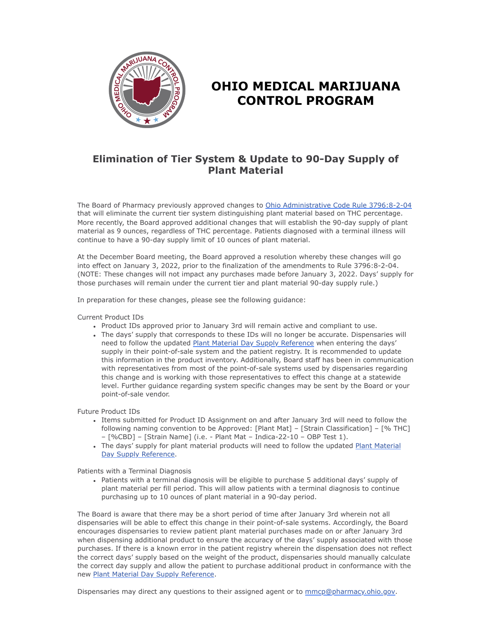

## **OHIO MEDICAL MARIJUANA CONTROL PROGRAM**

## **Elimination of Tier System & Update to 90-Day Supply of Plant Material**

The Board of Pharmacy previously approved changes to [Ohio Administrative Code Rule 3796:8-2-04](https://gcc02.safelinks.protection.outlook.com/?url=https%3A%2F%2Fcodes.ohio.gov%2Fohio-administrative-code%2Frule-3796%3A8-2-04&data=04%7C01%7Cashley.hood%40pharmacy.ohio.gov%7C8166931206fd4e80dd6808d9bfeb9d88%7C50f8fcc494d84f0784eb36ed57c7c8a2%7C0%7C0%7C637751840941500937%7CUnknown%7CTWFpbGZsb3d8eyJWIjoiMC4wLjAwMDAiLCJQIjoiV2luMzIiLCJBTiI6Ik1haWwiLCJXVCI6Mn0%3D%7C3000&sdata=k2gB0yVt7qqjJkaORrApq39yhQK974vn3S8qTgDWxQU%3D&reserved=0) that will eliminate the current tier system distinguishing plant material based on THC percentage. More recently, the Board approved additional changes that will establish the 90-day supply of plant material as 9 ounces, regardless of THC percentage. Patients diagnosed with a terminal illness will continue to have a 90-day supply limit of 10 ounces of plant material.

At the December Board meeting, the Board approved a resolution whereby these changes will go into effect on January 3, 2022, prior to the finalization of the amendments to Rule 3796:8-2-04. (NOTE: These changes will not impact any purchases made before January 3, 2022. Days' supply for those purchases will remain under the current tier and plant material 90-day supply rule.)

In preparation for these changes, please see the following guidance:

Current Product IDs

- Product IDs approved prior to January 3rd will remain active and compliant to use.
- The days' supply that corresponds to these IDs will no longer be accurate. Dispensaries will need to follow the updated [Plant Material Day Supply Reference](https://gcc02.safelinks.protection.outlook.com/?url=https%3A%2F%2Fwww.medicalmarijuana.ohio.gov%2FDocuments%2FLicenseeResources%2FDispensary%2520Licensee%2520Resources%2FDISPENSARY%2520GENERAL%2520OPERATIONS%2FPlant%2520Material%2520Day%2520Supply%2520Reference%2520-%2520Effective%25201-3-2022.pdf&data=04%7C01%7Cashley.hood%40pharmacy.ohio.gov%7C8166931206fd4e80dd6808d9bfeb9d88%7C50f8fcc494d84f0784eb36ed57c7c8a2%7C0%7C0%7C637751840941510890%7CUnknown%7CTWFpbGZsb3d8eyJWIjoiMC4wLjAwMDAiLCJQIjoiV2luMzIiLCJBTiI6Ik1haWwiLCJXVCI6Mn0%3D%7C3000&sdata=TpxZt%2BP0Jf0%2FNymN3Xg8F6E8I2KHkQ51FdGcHpydgIo%3D&reserved=0) when entering the days' supply in their point-of-sale system and the patient registry. It is recommended to update this information in the product inventory. Additionally, Board staff has been in communication with representatives from most of the point-of-sale systems used by dispensaries regarding this change and is working with those representatives to effect this change at a statewide level. Further guidance regarding system specific changes may be sent by the Board or your point-of-sale vendor.

Future Product IDs

- Items submitted for Product ID Assignment on and after January 3rd will need to follow the following naming convention to be Approved: [Plant Mat] – [Strain Classification] – [% THC] – [%CBD] – [Strain Name] (i.e. - Plant Mat – Indica-22-10 – OBP Test 1).
- [The days' supply for plant material products will need to follow the updated Plant Material](https://gcc02.safelinks.protection.outlook.com/?url=https%3A%2F%2Fwww.medicalmarijuana.ohio.gov%2FDocuments%2FLicenseeResources%2FDispensary%2520Licensee%2520Resources%2FDISPENSARY%2520GENERAL%2520OPERATIONS%2FPlant%2520Material%2520Day%2520Supply%2520Reference%2520-%2520Effective%25201-3-2022.pdf&data=04%7C01%7Cashley.hood%40pharmacy.ohio.gov%7C8166931206fd4e80dd6808d9bfeb9d88%7C50f8fcc494d84f0784eb36ed57c7c8a2%7C0%7C0%7C637751840941510890%7CUnknown%7CTWFpbGZsb3d8eyJWIjoiMC4wLjAwMDAiLCJQIjoiV2luMzIiLCJBTiI6Ik1haWwiLCJXVCI6Mn0%3D%7C3000&sdata=TpxZt%2BP0Jf0%2FNymN3Xg8F6E8I2KHkQ51FdGcHpydgIo%3D&reserved=0) Day Supply Reference.

Patients with a Terminal Diagnosis

Patients with a terminal diagnosis will be eligible to purchase 5 additional days' supply of plant material per fill period. This will allow patients with a terminal diagnosis to continue purchasing up to 10 ounces of plant material in a 90-day period.

The Board is aware that there may be a short period of time after January 3rd wherein not all dispensaries will be able to effect this change in their point-of-sale systems. Accordingly, the Board encourages dispensaries to review patient plant material purchases made on or after January 3rd when dispensing additional product to ensure the accuracy of the days' supply associated with those purchases. If there is a known error in the patient registry wherein the dispensation does not reflect the correct days' supply based on the weight of the product, dispensaries should manually calculate the correct day supply and allow the patient to purchase additional product in conformance with the new [Plant Material Day Supply Reference.](https://gcc02.safelinks.protection.outlook.com/?url=https%3A%2F%2Fwww.medicalmarijuana.ohio.gov%2FDocuments%2FLicenseeResources%2FDispensary%2520Licensee%2520Resources%2FDISPENSARY%2520GENERAL%2520OPERATIONS%2FPlant%2520Material%2520Day%2520Supply%2520Reference%2520-%2520Effective%25201-3-2022.pdf&data=04%7C01%7Cashley.hood%40pharmacy.ohio.gov%7C8166931206fd4e80dd6808d9bfeb9d88%7C50f8fcc494d84f0784eb36ed57c7c8a2%7C0%7C0%7C637751840941510890%7CUnknown%7CTWFpbGZsb3d8eyJWIjoiMC4wLjAwMDAiLCJQIjoiV2luMzIiLCJBTiI6Ik1haWwiLCJXVCI6Mn0%3D%7C3000&sdata=TpxZt%2BP0Jf0%2FNymN3Xg8F6E8I2KHkQ51FdGcHpydgIo%3D&reserved=0)

Dispensaries may direct any questions to their assigned agent or to  $\text{mmcp@pharmacy. Ohio.gov.}$